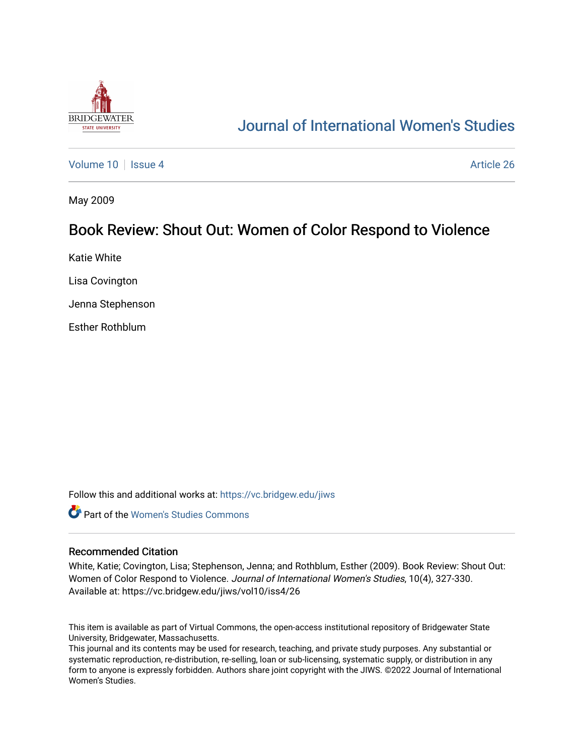

## [Journal of International Women's Studies](https://vc.bridgew.edu/jiws)

[Volume 10](https://vc.bridgew.edu/jiws/vol10) | [Issue 4](https://vc.bridgew.edu/jiws/vol10/iss4) Article 26

May 2009

## Book Review: Shout Out: Women of Color Respond to Violence

Katie White

Lisa Covington

Jenna Stephenson

Esther Rothblum

Follow this and additional works at: [https://vc.bridgew.edu/jiws](https://vc.bridgew.edu/jiws?utm_source=vc.bridgew.edu%2Fjiws%2Fvol10%2Fiss4%2F26&utm_medium=PDF&utm_campaign=PDFCoverPages)

**C** Part of the Women's Studies Commons

## Recommended Citation

White, Katie; Covington, Lisa; Stephenson, Jenna; and Rothblum, Esther (2009). Book Review: Shout Out: Women of Color Respond to Violence. Journal of International Women's Studies, 10(4), 327-330. Available at: https://vc.bridgew.edu/jiws/vol10/iss4/26

This item is available as part of Virtual Commons, the open-access institutional repository of Bridgewater State University, Bridgewater, Massachusetts.

This journal and its contents may be used for research, teaching, and private study purposes. Any substantial or systematic reproduction, re-distribution, re-selling, loan or sub-licensing, systematic supply, or distribution in any form to anyone is expressly forbidden. Authors share joint copyright with the JIWS. ©2022 Journal of International Women's Studies.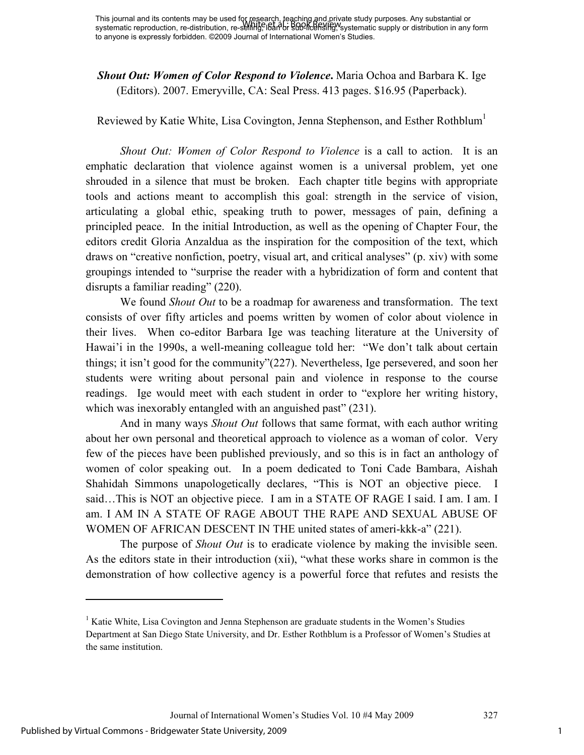*Shout Out: Women of Color Respond to Violence***.** Maria Ochoa and Barbara K. Ige (Editors). 2007. Emeryville, CA: Seal Press. 413 pages. \$16.95 (Paperback).

Reviewed by Katie White, Lisa Covington, Jenna Stephenson, and Esther Rothblum<sup>1</sup>

*Shout Out: Women of Color Respond to Violence* is a call to action. It is an emphatic declaration that violence against women is a universal problem, yet one shrouded in a silence that must be broken. Each chapter title begins with appropriate tools and actions meant to accomplish this goal: strength in the service of vision, articulating a global ethic, speaking truth to power, messages of pain, defining a principled peace. In the initial Introduction, as well as the opening of Chapter Four, the editors credit Gloria Anzaldua as the inspiration for the composition of the text, which draws on "creative nonfiction, poetry, visual art, and critical analyses" (p. xiv) with some groupings intended to "surprise the reader with a hybridization of form and content that disrupts a familiar reading" (220).

We found *Shout Out* to be a roadmap for awareness and transformation. The text consists of over fifty articles and poems written by women of color about violence in their lives. When co-editor Barbara Ige was teaching literature at the University of Hawai'i in the 1990s, a well-meaning colleague told her: "We don't talk about certain things; it isn't good for the community"(227). Nevertheless, Ige persevered, and soon her students were writing about personal pain and violence in response to the course readings. Ige would meet with each student in order to "explore her writing history, which was inexorably entangled with an anguished past" (231).

And in many ways *Shout Out* follows that same format, with each author writing about her own personal and theoretical approach to violence as a woman of color. Very few of the pieces have been published previously, and so this is in fact an anthology of women of color speaking out. In a poem dedicated to Toni Cade Bambara, Aishah Shahidah Simmons unapologetically declares, "This is NOT an objective piece. I said…This is NOT an objective piece. I am in a STATE OF RAGE I said. I am. I am. I am. I AM IN A STATE OF RAGE ABOUT THE RAPE AND SEXUAL ABUSE OF WOMEN OF AFRICAN DESCENT IN THE united states of ameri-kkk-a" (221).

The purpose of *Shout Out* is to eradicate violence by making the invisible seen. As the editors state in their introduction (xii), "what these works share in common is the demonstration of how collective agency is a powerful force that refutes and resists the

 $\overline{a}$ 

<sup>&</sup>lt;sup>1</sup> Katie White, Lisa Covington and Jenna Stephenson are graduate students in the Women's Studies Department at San Diego State University, and Dr. Esther Rothblum is a Professor of Women's Studies at the same institution.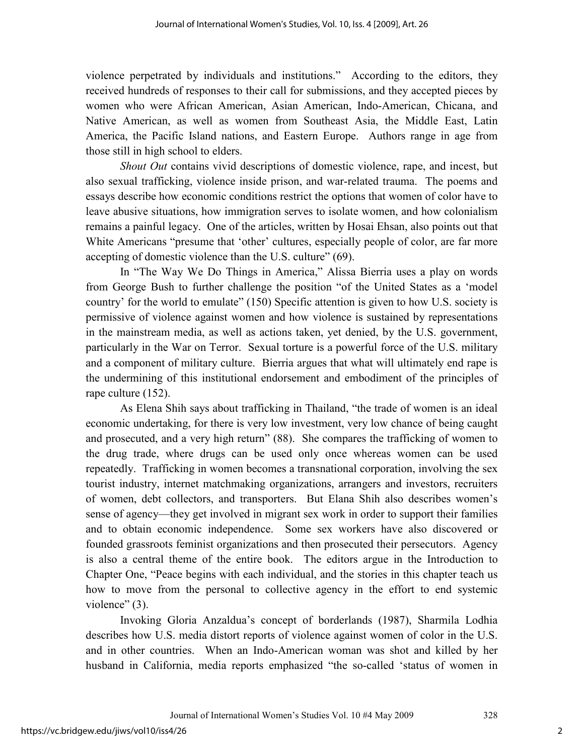violence perpetrated by individuals and institutions." According to the editors, they received hundreds of responses to their call for submissions, and they accepted pieces by women who were African American, Asian American, Indo-American, Chicana, and Native American, as well as women from Southeast Asia, the Middle East, Latin America, the Pacific Island nations, and Eastern Europe. Authors range in age from those still in high school to elders.

*Shout Out* contains vivid descriptions of domestic violence, rape, and incest, but also sexual trafficking, violence inside prison, and war-related trauma. The poems and essays describe how economic conditions restrict the options that women of color have to leave abusive situations, how immigration serves to isolate women, and how colonialism remains a painful legacy. One of the articles, written by Hosai Ehsan, also points out that White Americans "presume that 'other' cultures, especially people of color, are far more accepting of domestic violence than the U.S. culture" (69).

In "The Way We Do Things in America," Alissa Bierria uses a play on words from George Bush to further challenge the position "of the United States as a 'model country' for the world to emulate" (150) Specific attention is given to how U.S. society is permissive of violence against women and how violence is sustained by representations in the mainstream media, as well as actions taken, yet denied, by the U.S. government, particularly in the War on Terror. Sexual torture is a powerful force of the U.S. military and a component of military culture. Bierria argues that what will ultimately end rape is the undermining of this institutional endorsement and embodiment of the principles of rape culture (152).

As Elena Shih says about trafficking in Thailand, "the trade of women is an ideal economic undertaking, for there is very low investment, very low chance of being caught and prosecuted, and a very high return" (88). She compares the trafficking of women to the drug trade, where drugs can be used only once whereas women can be used repeatedly. Trafficking in women becomes a transnational corporation, involving the sex tourist industry, internet matchmaking organizations, arrangers and investors, recruiters of women, debt collectors, and transporters. But Elana Shih also describes women's sense of agency—they get involved in migrant sex work in order to support their families and to obtain economic independence. Some sex workers have also discovered or founded grassroots feminist organizations and then prosecuted their persecutors. Agency is also a central theme of the entire book. The editors argue in the Introduction to Chapter One, "Peace begins with each individual, and the stories in this chapter teach us how to move from the personal to collective agency in the effort to end systemic violence" (3).

Invoking Gloria Anzaldua's concept of borderlands (1987), Sharmila Lodhia describes how U.S. media distort reports of violence against women of color in the U.S. and in other countries. When an Indo-American woman was shot and killed by her husband in California, media reports emphasized "the so-called 'status of women in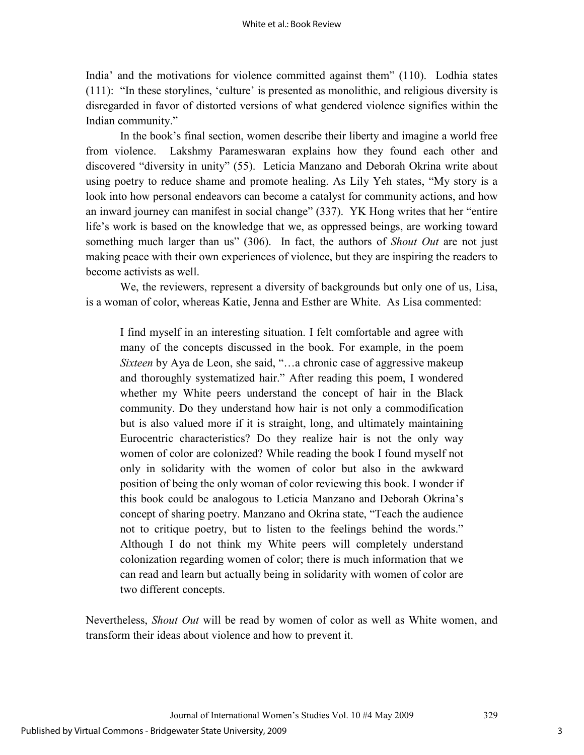India' and the motivations for violence committed against them" (110). Lodhia states (111): "In these storylines, 'culture' is presented as monolithic, and religious diversity is disregarded in favor of distorted versions of what gendered violence signifies within the Indian community."

In the book's final section, women describe their liberty and imagine a world free from violence. Lakshmy Parameswaran explains how they found each other and discovered "diversity in unity" (55). Leticia Manzano and Deborah Okrina write about using poetry to reduce shame and promote healing. As Lily Yeh states, "My story is a look into how personal endeavors can become a catalyst for community actions, and how an inward journey can manifest in social change" (337). YK Hong writes that her "entire life's work is based on the knowledge that we, as oppressed beings, are working toward something much larger than us" (306). In fact, the authors of *Shout Out* are not just making peace with their own experiences of violence, but they are inspiring the readers to become activists as well.

We, the reviewers, represent a diversity of backgrounds but only one of us, Lisa, is a woman of color, whereas Katie, Jenna and Esther are White. As Lisa commented:

I find myself in an interesting situation. I felt comfortable and agree with many of the concepts discussed in the book. For example, in the poem *Sixteen* by Aya de Leon, she said, "...a chronic case of aggressive makeup and thoroughly systematized hair." After reading this poem, I wondered whether my White peers understand the concept of hair in the Black community. Do they understand how hair is not only a commodification but is also valued more if it is straight, long, and ultimately maintaining Eurocentric characteristics? Do they realize hair is not the only way women of color are colonized? While reading the book I found myself not only in solidarity with the women of color but also in the awkward position of being the only woman of color reviewing this book. I wonder if this book could be analogous to Leticia Manzano and Deborah Okrina's concept of sharing poetry. Manzano and Okrina state, "Teach the audience not to critique poetry, but to listen to the feelings behind the words." Although I do not think my White peers will completely understand colonization regarding women of color; there is much information that we can read and learn but actually being in solidarity with women of color are two different concepts.

Nevertheless, *Shout Out* will be read by women of color as well as White women, and transform their ideas about violence and how to prevent it.